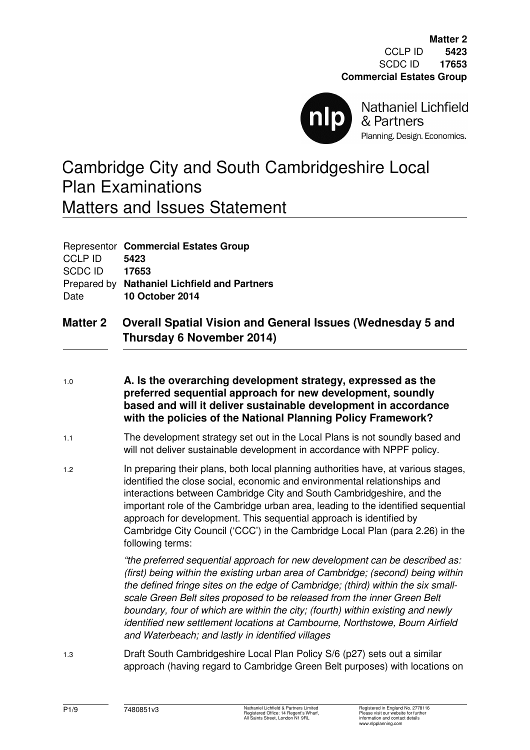

**Nathaniel Lichfield** & Partners Planning. Design. Economics.

# Cambridge City and South Cambridgeshire Local Plan Examinations Matters and Issues Statement

| <b>CCLP ID</b><br>SCDC ID<br>Date | Representor Commercial Estates Group<br>5423<br>17653<br>Prepared by Nathaniel Lichfield and Partners<br><b>10 October 2014</b>                                                                                                                                                                                                                                                                                                                                                                          |
|-----------------------------------|----------------------------------------------------------------------------------------------------------------------------------------------------------------------------------------------------------------------------------------------------------------------------------------------------------------------------------------------------------------------------------------------------------------------------------------------------------------------------------------------------------|
| <b>Matter 2</b>                   | <b>Overall Spatial Vision and General Issues (Wednesday 5 and</b><br>Thursday 6 November 2014)                                                                                                                                                                                                                                                                                                                                                                                                           |
| 1.0                               | A. Is the overarching development strategy, expressed as the<br>preferred sequential approach for new development, soundly<br>based and will it deliver sustainable development in accordance<br>with the policies of the National Planning Policy Framework?                                                                                                                                                                                                                                            |
| 1.1                               | The development strategy set out in the Local Plans is not soundly based and<br>will not deliver sustainable development in accordance with NPPF policy.                                                                                                                                                                                                                                                                                                                                                 |
| 1.2                               | In preparing their plans, both local planning authorities have, at various stages,<br>identified the close social, economic and environmental relationships and<br>interactions between Cambridge City and South Cambridgeshire, and the<br>important role of the Cambridge urban area, leading to the identified sequential<br>approach for development. This sequential approach is identified by<br>Cambridge City Council ('CCC') in the Cambridge Local Plan (para 2.26) in the<br>following terms: |

*"the preferred sequential approach for new development can be described as: (first) being within the existing urban area of Cambridge; (second) being within the defined fringe sites on the edge of Cambridge; (third) within the six smallscale Green Belt sites proposed to be released from the inner Green Belt boundary, four of which are within the city; (fourth) within existing and newly identified new settlement locations at Cambourne, Northstowe, Bourn Airfield and Waterbeach; and lastly in identified villages* 

1.3 Draft South Cambridgeshire Local Plan Policy S/6 (p27) sets out a similar approach (having regard to Cambridge Green Belt purposes) with locations on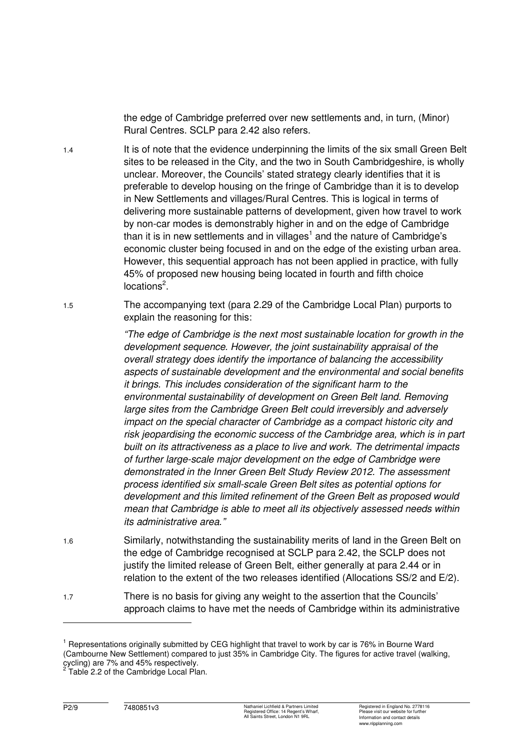the edge of Cambridge preferred over new settlements and, in turn, (Minor) Rural Centres. SCLP para 2.42 also refers.

- 1.4 It is of note that the evidence underpinning the limits of the six small Green Belt sites to be released in the City, and the two in South Cambridgeshire, is wholly unclear. Moreover, the Councils' stated strategy clearly identifies that it is preferable to develop housing on the fringe of Cambridge than it is to develop in New Settlements and villages/Rural Centres. This is logical in terms of delivering more sustainable patterns of development, given how travel to work by non-car modes is demonstrably higher in and on the edge of Cambridge than it is in new settlements and in villages<sup>1</sup> and the nature of Cambridge's economic cluster being focused in and on the edge of the existing urban area. However, this sequential approach has not been applied in practice, with fully 45% of proposed new housing being located in fourth and fifth choice locations $^2$ .
- 1.5 The accompanying text (para 2.29 of the Cambridge Local Plan) purports to explain the reasoning for this:

*"The edge of Cambridge is the next most sustainable location for growth in the development sequence. However, the joint sustainability appraisal of the overall strategy does identify the importance of balancing the accessibility aspects of sustainable development and the environmental and social benefits it brings. This includes consideration of the significant harm to the environmental sustainability of development on Green Belt land. Removing large sites from the Cambridge Green Belt could irreversibly and adversely impact on the special character of Cambridge as a compact historic city and risk jeopardising the economic success of the Cambridge area, which is in part built on its attractiveness as a place to live and work. The detrimental impacts of further large-scale major development on the edge of Cambridge were demonstrated in the Inner Green Belt Study Review 2012. The assessment process identified six small-scale Green Belt sites as potential options for development and this limited refinement of the Green Belt as proposed would mean that Cambridge is able to meet all its objectively assessed needs within its administrative area."* 

- 1.6 Similarly, notwithstanding the sustainability merits of land in the Green Belt on the edge of Cambridge recognised at SCLP para 2.42, the SCLP does not justify the limited release of Green Belt, either generally at para 2.44 or in relation to the extent of the two releases identified (Allocations SS/2 and E/2).
- 1.7 There is no basis for giving any weight to the assertion that the Councils' approach claims to have met the needs of Cambridge within its administrative

 $\overline{a}$ 

<sup>&</sup>lt;sup>1</sup> Representations originally submitted by CEG highlight that travel to work by car is 76% in Bourne Ward (Cambourne New Settlement) compared to just 35% in Cambridge City. The figures for active travel (walking, cycling) are 7% and 45% respectively.<br><sup>2</sup> Table 2.2 of the Cambridge Local Plan.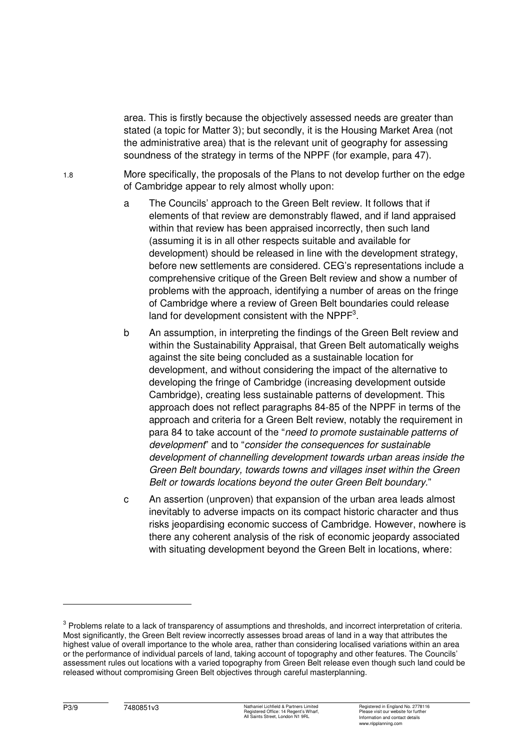area. This is firstly because the objectively assessed needs are greater than stated (a topic for Matter 3); but secondly, it is the Housing Market Area (not the administrative area) that is the relevant unit of geography for assessing soundness of the strategy in terms of the NPPF (for example, para 47).

1.8 More specifically, the proposals of the Plans to not develop further on the edge of Cambridge appear to rely almost wholly upon:

- a The Councils' approach to the Green Belt review. It follows that if elements of that review are demonstrably flawed, and if land appraised within that review has been appraised incorrectly, then such land (assuming it is in all other respects suitable and available for development) should be released in line with the development strategy, before new settlements are considered. CEG's representations include a comprehensive critique of the Green Belt review and show a number of problems with the approach, identifying a number of areas on the fringe of Cambridge where a review of Green Belt boundaries could release land for development consistent with the NPPF $^3$ .
- b An assumption, in interpreting the findings of the Green Belt review and within the Sustainability Appraisal, that Green Belt automatically weighs against the site being concluded as a sustainable location for development, and without considering the impact of the alternative to developing the fringe of Cambridge (increasing development outside Cambridge), creating less sustainable patterns of development. This approach does not reflect paragraphs 84-85 of the NPPF in terms of the approach and criteria for a Green Belt review, notably the requirement in para 84 to take account of the "*need to promote sustainable patterns of development*" and to "*consider the consequences for sustainable development of channelling development towards urban areas inside the Green Belt boundary, towards towns and villages inset within the Green Belt or towards locations beyond the outer Green Belt boundary.*"
- c An assertion (unproven) that expansion of the urban area leads almost inevitably to adverse impacts on its compact historic character and thus risks jeopardising economic success of Cambridge. However, nowhere is there any coherent analysis of the risk of economic jeopardy associated with situating development beyond the Green Belt in locations, where:

 $\overline{a}$ 

 $3$  Problems relate to a lack of transparency of assumptions and thresholds, and incorrect interpretation of criteria. Most significantly, the Green Belt review incorrectly assesses broad areas of land in a way that attributes the highest value of overall importance to the whole area, rather than considering localised variations within an area or the performance of individual parcels of land, taking account of topography and other features. The Councils' assessment rules out locations with a varied topography from Green Belt release even though such land could be released without compromising Green Belt objectives through careful masterplanning.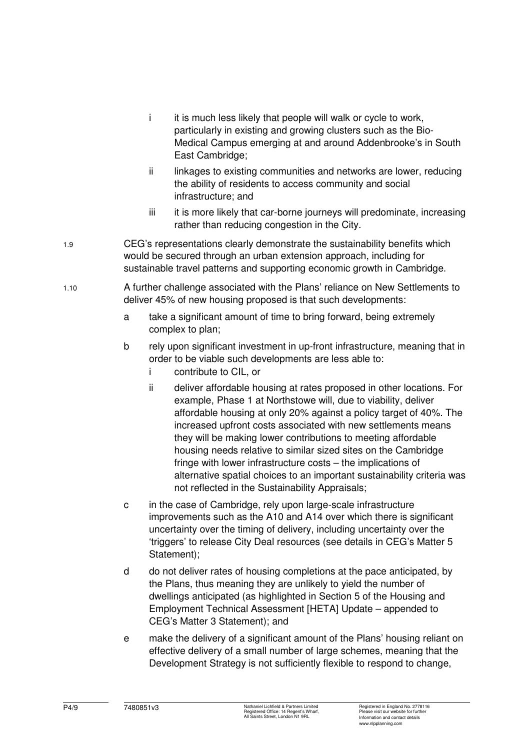- i it is much less likely that people will walk or cycle to work, particularly in existing and growing clusters such as the Bio-Medical Campus emerging at and around Addenbrooke's in South East Cambridge;
- ii linkages to existing communities and networks are lower, reducing the ability of residents to access community and social infrastructure; and
- iii it is more likely that car-borne journeys will predominate, increasing rather than reducing congestion in the City.
- 1.9 CEG's representations clearly demonstrate the sustainability benefits which would be secured through an urban extension approach, including for sustainable travel patterns and supporting economic growth in Cambridge.
- 1.10 A further challenge associated with the Plans' reliance on New Settlements to deliver 45% of new housing proposed is that such developments:
	- a take a significant amount of time to bring forward, being extremely complex to plan;
	- b rely upon significant investment in up-front infrastructure, meaning that in order to be viable such developments are less able to:
		- i contribute to CIL, or
		- ii deliver affordable housing at rates proposed in other locations. For example, Phase 1 at Northstowe will, due to viability, deliver affordable housing at only 20% against a policy target of 40%. The increased upfront costs associated with new settlements means they will be making lower contributions to meeting affordable housing needs relative to similar sized sites on the Cambridge fringe with lower infrastructure costs – the implications of alternative spatial choices to an important sustainability criteria was not reflected in the Sustainability Appraisals;
	- c in the case of Cambridge, rely upon large-scale infrastructure improvements such as the A10 and A14 over which there is significant uncertainty over the timing of delivery, including uncertainty over the 'triggers' to release City Deal resources (see details in CEG's Matter 5 Statement):
	- d do not deliver rates of housing completions at the pace anticipated, by the Plans, thus meaning they are unlikely to yield the number of dwellings anticipated (as highlighted in Section 5 of the Housing and Employment Technical Assessment [HETA] Update – appended to CEG's Matter 3 Statement); and
	- e make the delivery of a significant amount of the Plans' housing reliant on effective delivery of a small number of large schemes, meaning that the Development Strategy is not sufficiently flexible to respond to change,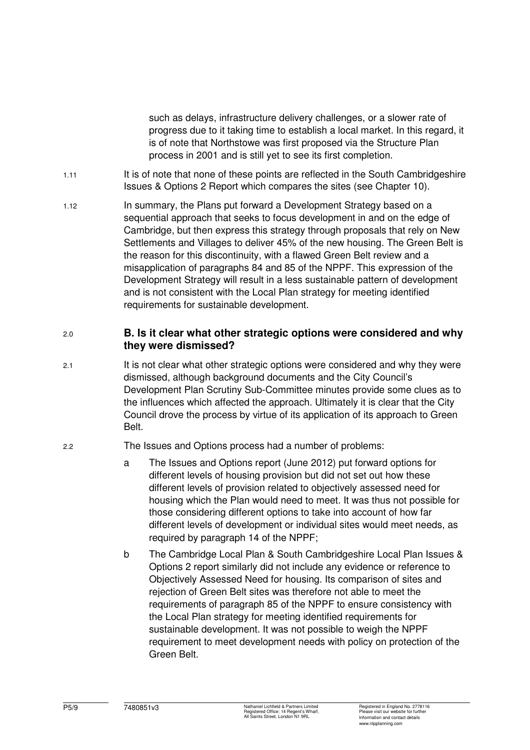such as delays, infrastructure delivery challenges, or a slower rate of progress due to it taking time to establish a local market. In this regard, it is of note that Northstowe was first proposed via the Structure Plan process in 2001 and is still yet to see its first completion.

- 1.11 It is of note that none of these points are reflected in the South Cambridgeshire Issues & Options 2 Report which compares the sites (see Chapter 10).
- 1.12 In summary, the Plans put forward a Development Strategy based on a sequential approach that seeks to focus development in and on the edge of Cambridge, but then express this strategy through proposals that rely on New Settlements and Villages to deliver 45% of the new housing. The Green Belt is the reason for this discontinuity, with a flawed Green Belt review and a misapplication of paragraphs 84 and 85 of the NPPF. This expression of the Development Strategy will result in a less sustainable pattern of development and is not consistent with the Local Plan strategy for meeting identified requirements for sustainable development.

## 2.0 **B. Is it clear what other strategic options were considered and why they were dismissed?**

2.1 It is not clear what other strategic options were considered and why they were dismissed, although background documents and the City Council's Development Plan Scrutiny Sub-Committee minutes provide some clues as to the influences which affected the approach. Ultimately it is clear that the City Council drove the process by virtue of its application of its approach to Green Belt.

#### 2.2 The Issues and Options process had a number of problems:

- a The Issues and Options report (June 2012) put forward options for different levels of housing provision but did not set out how these different levels of provision related to objectively assessed need for housing which the Plan would need to meet. It was thus not possible for those considering different options to take into account of how far different levels of development or individual sites would meet needs, as required by paragraph 14 of the NPPF;
- b The Cambridge Local Plan & South Cambridgeshire Local Plan Issues & Options 2 report similarly did not include any evidence or reference to Objectively Assessed Need for housing. Its comparison of sites and rejection of Green Belt sites was therefore not able to meet the requirements of paragraph 85 of the NPPF to ensure consistency with the Local Plan strategy for meeting identified requirements for sustainable development. It was not possible to weigh the NPPF requirement to meet development needs with policy on protection of the Green Belt.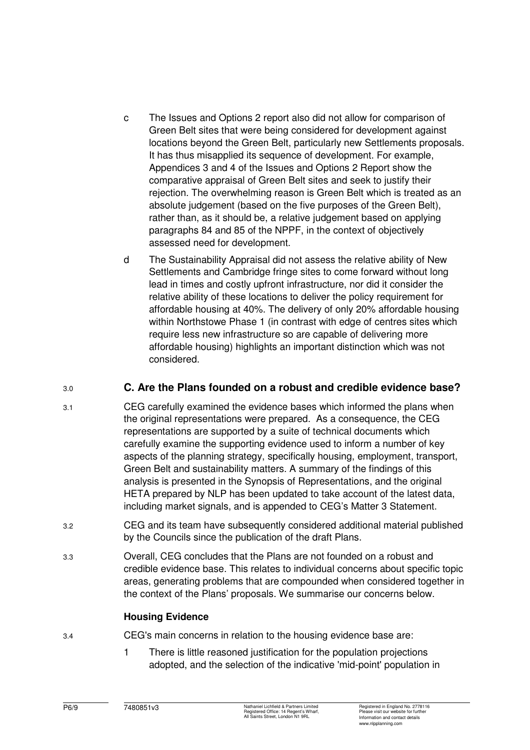- c The Issues and Options 2 report also did not allow for comparison of Green Belt sites that were being considered for development against locations beyond the Green Belt, particularly new Settlements proposals. It has thus misapplied its sequence of development. For example, Appendices 3 and 4 of the Issues and Options 2 Report show the comparative appraisal of Green Belt sites and seek to justify their rejection. The overwhelming reason is Green Belt which is treated as an absolute judgement (based on the five purposes of the Green Belt), rather than, as it should be, a relative judgement based on applying paragraphs 84 and 85 of the NPPF, in the context of objectively assessed need for development.
- d The Sustainability Appraisal did not assess the relative ability of New Settlements and Cambridge fringe sites to come forward without long lead in times and costly upfront infrastructure, nor did it consider the relative ability of these locations to deliver the policy requirement for affordable housing at 40%. The delivery of only 20% affordable housing within Northstowe Phase 1 (in contrast with edge of centres sites which require less new infrastructure so are capable of delivering more affordable housing) highlights an important distinction which was not considered.

# 3.0 **C. Are the Plans founded on a robust and credible evidence base?**

- 3.1 CEG carefully examined the evidence bases which informed the plans when the original representations were prepared. As a consequence, the CEG representations are supported by a suite of technical documents which carefully examine the supporting evidence used to inform a number of key aspects of the planning strategy, specifically housing, employment, transport, Green Belt and sustainability matters. A summary of the findings of this analysis is presented in the Synopsis of Representations, and the original HETA prepared by NLP has been updated to take account of the latest data, including market signals, and is appended to CEG's Matter 3 Statement.
- 3.2 CEG and its team have subsequently considered additional material published by the Councils since the publication of the draft Plans.
- 3.3 Overall, CEG concludes that the Plans are not founded on a robust and credible evidence base. This relates to individual concerns about specific topic areas, generating problems that are compounded when considered together in the context of the Plans' proposals. We summarise our concerns below.

# **Housing Evidence**

- 3.4 CEG's main concerns in relation to the housing evidence base are:
	- 1 There is little reasoned justification for the population projections adopted, and the selection of the indicative 'mid-point' population in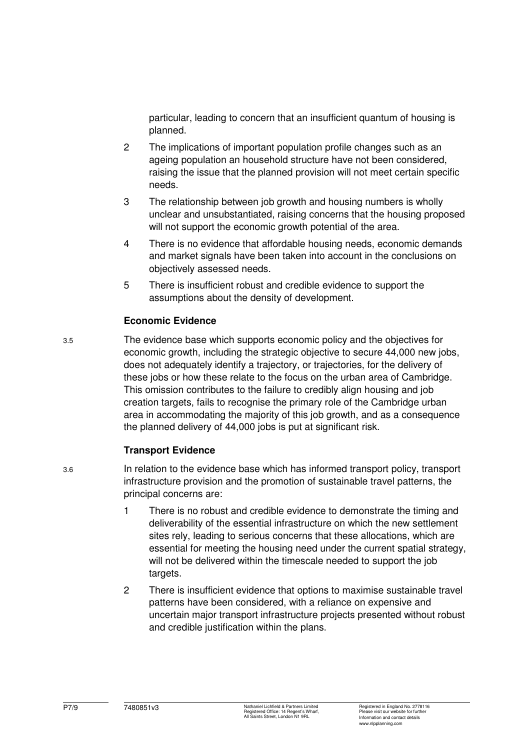particular, leading to concern that an insufficient quantum of housing is planned.

- 2 The implications of important population profile changes such as an ageing population an household structure have not been considered, raising the issue that the planned provision will not meet certain specific needs.
- 3 The relationship between job growth and housing numbers is wholly unclear and unsubstantiated, raising concerns that the housing proposed will not support the economic growth potential of the area.
- 4 There is no evidence that affordable housing needs, economic demands and market signals have been taken into account in the conclusions on objectively assessed needs.
- 5 There is insufficient robust and credible evidence to support the assumptions about the density of development.

### **Economic Evidence**

3.5 The evidence base which supports economic policy and the objectives for economic growth, including the strategic objective to secure 44,000 new jobs, does not adequately identify a trajectory, or trajectories, for the delivery of these jobs or how these relate to the focus on the urban area of Cambridge. This omission contributes to the failure to credibly align housing and job creation targets, fails to recognise the primary role of the Cambridge urban area in accommodating the majority of this job growth, and as a consequence the planned delivery of 44,000 jobs is put at significant risk.

# **Transport Evidence**

- 3.6 In relation to the evidence base which has informed transport policy, transport infrastructure provision and the promotion of sustainable travel patterns, the principal concerns are:
	- 1 There is no robust and credible evidence to demonstrate the timing and deliverability of the essential infrastructure on which the new settlement sites rely, leading to serious concerns that these allocations, which are essential for meeting the housing need under the current spatial strategy, will not be delivered within the timescale needed to support the job targets.
	- 2 There is insufficient evidence that options to maximise sustainable travel patterns have been considered, with a reliance on expensive and uncertain major transport infrastructure projects presented without robust and credible justification within the plans.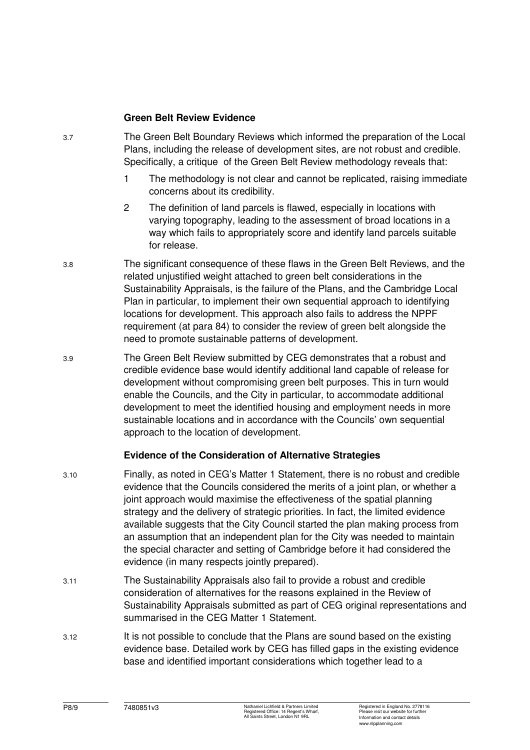#### **Green Belt Review Evidence**

- 3.7 The Green Belt Boundary Reviews which informed the preparation of the Local Plans, including the release of development sites, are not robust and credible. Specifically, a critique of the Green Belt Review methodology reveals that:
	- 1 The methodology is not clear and cannot be replicated, raising immediate concerns about its credibility.
	- 2 The definition of land parcels is flawed, especially in locations with varying topography, leading to the assessment of broad locations in a way which fails to appropriately score and identify land parcels suitable for release.
- 3.8 The significant consequence of these flaws in the Green Belt Reviews, and the related unjustified weight attached to green belt considerations in the Sustainability Appraisals, is the failure of the Plans, and the Cambridge Local Plan in particular, to implement their own sequential approach to identifying locations for development. This approach also fails to address the NPPF requirement (at para 84) to consider the review of green belt alongside the need to promote sustainable patterns of development.
- 3.9 The Green Belt Review submitted by CEG demonstrates that a robust and credible evidence base would identify additional land capable of release for development without compromising green belt purposes. This in turn would enable the Councils, and the City in particular, to accommodate additional development to meet the identified housing and employment needs in more sustainable locations and in accordance with the Councils' own sequential approach to the location of development.

### **Evidence of the Consideration of Alternative Strategies**

- 3.10 Finally, as noted in CEG's Matter 1 Statement, there is no robust and credible evidence that the Councils considered the merits of a joint plan, or whether a joint approach would maximise the effectiveness of the spatial planning strategy and the delivery of strategic priorities. In fact, the limited evidence available suggests that the City Council started the plan making process from an assumption that an independent plan for the City was needed to maintain the special character and setting of Cambridge before it had considered the evidence (in many respects jointly prepared).
- 3.11 The Sustainability Appraisals also fail to provide a robust and credible consideration of alternatives for the reasons explained in the Review of Sustainability Appraisals submitted as part of CEG original representations and summarised in the CEG Matter 1 Statement.
- 3.12 It is not possible to conclude that the Plans are sound based on the existing evidence base. Detailed work by CEG has filled gaps in the existing evidence base and identified important considerations which together lead to a